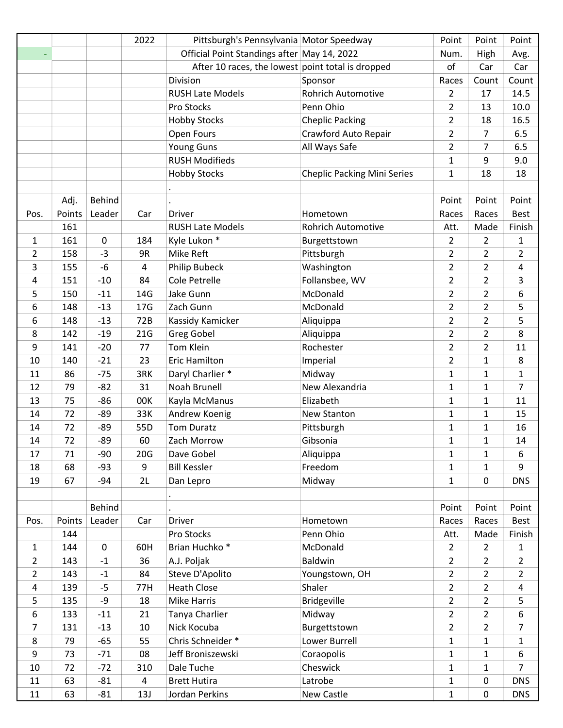|                |        |               | 2022            | Pittsburgh's Pennsylvania Motor Speedway          |                                    | Point          | Point          | Point          |
|----------------|--------|---------------|-----------------|---------------------------------------------------|------------------------------------|----------------|----------------|----------------|
|                |        |               |                 | Official Point Standings after May 14, 2022       |                                    | Num.           | High           | Avg.           |
|                |        |               |                 | After 10 races, the lowest point total is dropped |                                    | of             | Car            | Car            |
|                |        |               |                 | Division                                          | Sponsor                            | Races          | Count          | Count          |
|                |        |               |                 | <b>RUSH Late Models</b>                           | <b>Rohrich Automotive</b>          | $\overline{2}$ | 17             | 14.5           |
|                |        |               |                 | Pro Stocks                                        | Penn Ohio                          | $\overline{2}$ | 13             | 10.0           |
|                |        |               |                 | <b>Hobby Stocks</b>                               | <b>Cheplic Packing</b>             | $\overline{2}$ | 18             | 16.5           |
|                |        |               |                 | Open Fours                                        | Crawford Auto Repair               | $\overline{2}$ | 7              | 6.5            |
|                |        |               |                 | <b>Young Guns</b>                                 | All Ways Safe                      | $\overline{2}$ | 7              | 6.5            |
|                |        |               |                 | <b>RUSH Modifieds</b>                             |                                    | $\mathbf{1}$   | 9              | 9.0            |
|                |        |               |                 | <b>Hobby Stocks</b>                               | <b>Cheplic Packing Mini Series</b> | 1              | 18             | 18             |
|                |        |               |                 |                                                   |                                    |                |                |                |
|                | Adj.   | <b>Behind</b> |                 |                                                   |                                    | Point          | Point          | Point          |
| Pos.           | Points | Leader        | Car             | Driver                                            | Hometown                           | Races          | Races          | <b>Best</b>    |
|                | 161    |               |                 | <b>RUSH Late Models</b>                           | <b>Rohrich Automotive</b>          | Att.           | Made           | Finish         |
| 1              | 161    | 0             | 184             | Kyle Lukon *                                      | Burgettstown                       | $\overline{2}$ | $\overline{2}$ | 1              |
| 2              | 158    | $-3$          | 9R              | Mike Reft                                         | Pittsburgh                         | $\overline{2}$ | $\overline{2}$ | $\overline{2}$ |
| 3              | 155    | -6            | 4               | <b>Philip Bubeck</b>                              | Washington                         | $\overline{2}$ | $\overline{2}$ | 4              |
| 4              | 151    | $-10$         | 84              | Cole Petrelle                                     | Follansbee, WV                     | $\overline{2}$ | $\overline{2}$ | 3              |
| 5              | 150    | $-11$         | 14G             | Jake Gunn                                         | McDonald                           | $\overline{2}$ | $\overline{2}$ | 6              |
| 6              | 148    | $-13$         | 17 <sub>G</sub> | Zach Gunn                                         | McDonald                           | $\overline{2}$ | $\overline{2}$ | 5              |
| 6              | 148    | $-13$         | 72B             | Kassidy Kamicker                                  | Aliquippa                          | $\overline{2}$ | $\overline{2}$ | 5              |
| 8              | 142    | $-19$         | 21G             | <b>Greg Gobel</b>                                 | Aliquippa                          | $\overline{2}$ | $\overline{2}$ | 8              |
| 9              | 141    | $-20$         | 77              | Tom Klein                                         | Rochester                          | $\overline{2}$ | $\overline{2}$ | 11             |
| 10             | 140    | $-21$         | 23              | Eric Hamilton                                     | Imperial                           | $\overline{2}$ | 1              | 8              |
| 11             | 86     | $-75$         | 3RK             | Daryl Charlier *                                  | Midway                             | $\mathbf{1}$   | 1              | $\mathbf{1}$   |
| 12             | 79     | $-82$         | 31              | Noah Brunell                                      | New Alexandria                     | $\mathbf{1}$   | $\mathbf{1}$   | 7              |
| 13             | 75     | $-86$         | 00K             | Kayla McManus                                     | Elizabeth                          | 1              | 1              | 11             |
| 14             | 72     | $-89$         | 33K             | Andrew Koenig                                     | New Stanton                        | $\mathbf{1}$   | $\mathbf{1}$   | 15             |
| 14             | 72     | $-89$         | 55D             | <b>Tom Duratz</b>                                 | Pittsburgh                         | $\mathbf{1}$   | 1              | 16             |
| 14             | 72     | -89           | 60              | Zach Morrow                                       | Gibsonia                           | $\mathbf{1}$   | $\mathbf{1}$   | 14             |
| 17             | 71     | $-90$         | 20G             | Dave Gobel                                        | Aliquippa                          | $\mathbf{1}$   | 1              | 6              |
| 18             | 68     | $-93$         | 9               | <b>Bill Kessler</b>                               | Freedom                            | 1              | 1              | 9              |
| 19             | 67     | $-94$         | 2L              | Dan Lepro                                         | Midway                             | $\mathbf{1}$   | $\pmb{0}$      | <b>DNS</b>     |
|                |        |               |                 |                                                   |                                    |                |                |                |
|                |        | <b>Behind</b> |                 |                                                   |                                    | Point          | Point          | Point          |
| Pos.           | Points | Leader        | Car             | Driver                                            | Hometown                           | Races          | Races          | <b>Best</b>    |
|                | 144    |               |                 | Pro Stocks                                        | Penn Ohio                          | Att.           | Made           | Finish         |
| $\mathbf{1}$   | 144    | 0             | 60H             | Brian Huchko <sup>*</sup>                         | McDonald                           | $\overline{2}$ | $\overline{2}$ | 1              |
| $\overline{2}$ | 143    | $-1$          | 36              | A.J. Poljak                                       | Baldwin                            | $\overline{2}$ | 2              | $\overline{2}$ |
| $\overline{2}$ | 143    | $-1$          | 84              | Steve D'Apolito                                   | Youngstown, OH                     | $\overline{2}$ | $\overline{2}$ | $\overline{2}$ |
| 4              | 139    | $-5$          | 77H             | <b>Heath Close</b>                                | Shaler                             | $\overline{2}$ | $\overline{2}$ | 4              |
| 5              | 135    | -9            | 18              | <b>Mike Harris</b>                                | <b>Bridgeville</b>                 | $\overline{2}$ | $\overline{2}$ | 5              |
| 6              | 133    | $-11$         | 21              | Tanya Charlier                                    | Midway                             | $\overline{2}$ | $\overline{2}$ | 6              |
| $\overline{7}$ | 131    | $-13$         | 10              | Nick Kocuba                                       | Burgettstown                       | $\overline{2}$ | $\overline{2}$ | $\overline{7}$ |
| 8              | 79     | $-65$         | 55              | Chris Schneider *                                 | Lower Burrell                      | $\mathbf{1}$   | $\mathbf{1}$   | $\mathbf{1}$   |
| 9              | 73     | $-71$         | 08              | Jeff Broniszewski                                 | Coraopolis                         | 1              | 1              | 6              |
| 10             | 72     | $-72$         | 310             | Dale Tuche                                        | Cheswick                           | $\mathbf 1$    | $\mathbf{1}$   | 7              |
| 11             | 63     | $-81$         | 4               | <b>Brett Hutira</b>                               | Latrobe                            | $\mathbf 1$    | $\pmb{0}$      | <b>DNS</b>     |
| 11             | 63     | $-81$         | 13J             | Jordan Perkins                                    | New Castle                         | $\mathbf{1}$   | $\pmb{0}$      | <b>DNS</b>     |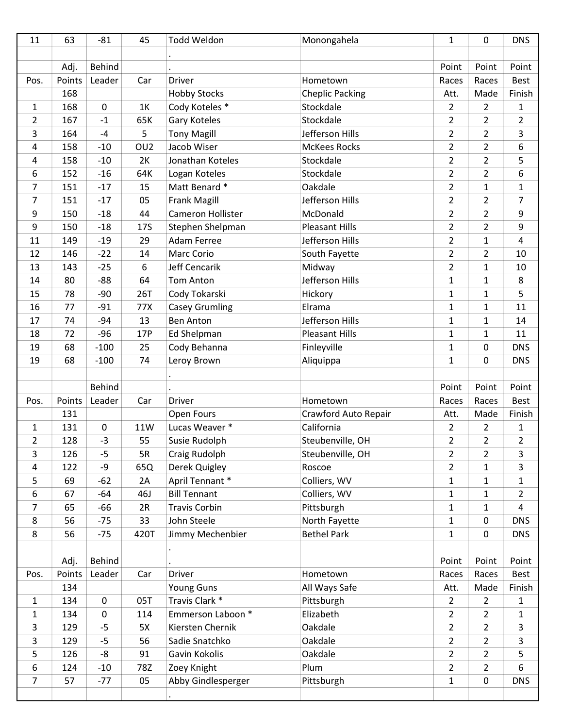| 11             | 63     | $-81$         | 45               | Todd Weldon           | Monongahela            | $\mathbf{1}$   | $\mathbf 0$    | <b>DNS</b>     |
|----------------|--------|---------------|------------------|-----------------------|------------------------|----------------|----------------|----------------|
|                |        |               |                  |                       |                        |                |                |                |
|                | Adj.   | <b>Behind</b> |                  |                       |                        | Point          | Point          | Point          |
| Pos.           | Points | Leader        | Car              | <b>Driver</b>         | Hometown               | Races          | Races          | <b>Best</b>    |
|                | 168    |               |                  | <b>Hobby Stocks</b>   | <b>Cheplic Packing</b> | Att.           | Made           | Finish         |
| $\mathbf{1}$   | 168    | $\mathbf 0$   | 1K               | Cody Koteles *        | Stockdale              | $\overline{2}$ | $\overline{2}$ | $\mathbf{1}$   |
| 2              | 167    | $-1$          | 65K              | Gary Koteles          | Stockdale              | $\overline{2}$ | $\overline{2}$ | $\overline{2}$ |
| 3              | 164    | -4            | 5                | <b>Tony Magill</b>    | Jefferson Hills        | $\overline{2}$ | $\overline{2}$ | 3              |
| 4              | 158    | $-10$         | OU <sub>2</sub>  | Jacob Wiser           | <b>McKees Rocks</b>    | $\overline{2}$ | $\overline{2}$ | 6              |
| 4              | 158    | $-10$         | 2K               | Jonathan Koteles      | Stockdale              | $\overline{2}$ | $\overline{2}$ | 5              |
| 6              | 152    | $-16$         | 64K              | Logan Koteles         | Stockdale              | $\overline{2}$ | $\overline{2}$ | 6              |
| 7              | 151    | $-17$         | 15               | Matt Benard *         | Oakdale                | $\overline{2}$ | $\mathbf{1}$   | $\mathbf{1}$   |
| $\overline{7}$ | 151    | $-17$         | 05               | <b>Frank Magill</b>   | Jefferson Hills        | $\overline{2}$ | $\overline{2}$ | 7              |
| 9              | 150    | $-18$         | 44               | Cameron Hollister     | McDonald               | $\overline{2}$ | $\overline{2}$ | 9              |
| 9              | 150    | $-18$         | 17S              | Stephen Shelpman      | <b>Pleasant Hills</b>  | $\overline{2}$ | $\overline{2}$ | 9              |
| 11             | 149    | $-19$         | 29               | <b>Adam Ferree</b>    | Jefferson Hills        | $\overline{2}$ | 1              | 4              |
| 12             | 146    | $-22$         | 14               | Marc Corio            | South Fayette          | $\overline{2}$ | $\overline{2}$ | 10             |
| 13             | 143    | $-25$         | $\boldsymbol{6}$ | Jeff Cencarik         | Midway                 | $\overline{2}$ | $\mathbf{1}$   | 10             |
| 14             | 80     | $-88$         | 64               | <b>Tom Anton</b>      | Jefferson Hills        | $\mathbf{1}$   | $\mathbf{1}$   | 8              |
| 15             | 78     | $-90$         | <b>26T</b>       | Cody Tokarski         | Hickory                | $\mathbf{1}$   | 1              | 5              |
| 16             | 77     | $-91$         | 77X              | <b>Casey Grumling</b> | Elrama                 | $\mathbf{1}$   | $\mathbf{1}$   | 11             |
| 17             | 74     | $-94$         | 13               | <b>Ben Anton</b>      | Jefferson Hills        | $\mathbf{1}$   | 1              | 14             |
| 18             | 72     | $-96$         | 17P              | Ed Shelpman           | <b>Pleasant Hills</b>  | $\mathbf{1}$   | 1              | 11             |
| 19             | 68     | $-100$        | 25               | Cody Behanna          | Finleyville            | $\mathbf{1}$   | 0              | <b>DNS</b>     |
| 19             | 68     | $-100$        | 74               | Leroy Brown           | Aliquippa              | $\mathbf{1}$   | 0              | <b>DNS</b>     |
|                |        |               |                  |                       |                        |                |                |                |
|                |        | <b>Behind</b> |                  |                       |                        | Point          | Point          | Point          |
| Pos.           | Points | Leader        | Car              | <b>Driver</b>         | Hometown               | Races          | Races          | <b>Best</b>    |
|                | 131    |               |                  | Open Fours            | Crawford Auto Repair   | Att.           | Made           | Finish         |
| 1              | 131    | $\mathbf 0$   | 11W              | Lucas Weaver *        | California             | $\overline{2}$ | $\overline{2}$ | $\mathbf{1}$   |
| $\overline{2}$ | 128    | $-3$          | 55               | Susie Rudolph         | Steubenville, OH       | $\overline{2}$ | $\overline{2}$ | $\overline{2}$ |
| 3              | 126    | $-5$          | 5R               | Craig Rudolph         | Steubenville, OH       | $\overline{2}$ | $\overline{2}$ | 3              |
| 4              | 122    | -9            | 65Q              | Derek Quigley         | Roscoe                 | $\overline{2}$ | $\mathbf{1}$   | $\mathbf{3}$   |
| 5              | 69     | $-62$         | 2A               | April Tennant *       | Colliers, WV           | $\mathbf{1}$   | $\mathbf{1}$   | $\mathbf{1}$   |
| 6              | 67     | $-64$         | 46J              | <b>Bill Tennant</b>   | Colliers, WV           | $\mathbf{1}$   | $\mathbf{1}$   | $\overline{2}$ |
| 7              | 65     | $-66$         | 2R               | <b>Travis Corbin</b>  | Pittsburgh             | $\mathbf{1}$   | $\mathbf{1}$   | $\overline{4}$ |
| 8              | 56     | $-75$         | 33               | John Steele           | North Fayette          | $\mathbf{1}$   | 0              | <b>DNS</b>     |
| 8              | 56     | $-75$         | 420T             | Jimmy Mechenbier      | <b>Bethel Park</b>     | $\mathbf{1}$   | $\pmb{0}$      | <b>DNS</b>     |
|                |        |               |                  |                       |                        |                |                |                |
|                | Adj.   | <b>Behind</b> |                  |                       |                        | Point          | Point          | Point          |
| Pos.           | Points | Leader        | Car              | <b>Driver</b>         | Hometown               | Races          | Races          | Best           |
|                | 134    |               |                  | Young Guns            | All Ways Safe          | Att.           | Made           | Finish         |
| $\mathbf{1}$   | 134    | $\pmb{0}$     | 05T              | Travis Clark *        | Pittsburgh             | $\overline{2}$ | $\overline{2}$ | $\mathbf{1}$   |
| 1              | 134    | $\mathbf 0$   | 114              | Emmerson Laboon *     | Elizabeth              | $\overline{2}$ | $\overline{2}$ | $\mathbf{1}$   |
| 3              | 129    | $-5$          | 5X               | Kiersten Chernik      | Oakdale                | $\overline{2}$ | $\overline{2}$ | $\mathbf{3}$   |
| 3              | 129    | $-5$          | 56               | Sadie Snatchko        | Oakdale                | $\overline{2}$ | $\overline{2}$ | 3              |
| 5              | 126    | -8            | 91               | Gavin Kokolis         | Oakdale                | $\overline{2}$ | $\overline{2}$ | 5              |
| 6              | 124    | $-10$         | 78Z              | Zoey Knight           | Plum                   | $\overline{2}$ | $\overline{2}$ | 6              |
| $\overline{7}$ | 57     | $-77$         | 05               | Abby Gindlesperger    | Pittsburgh             | $\mathbf 1$    | $\pmb{0}$      | <b>DNS</b>     |
|                |        |               |                  |                       |                        |                |                |                |